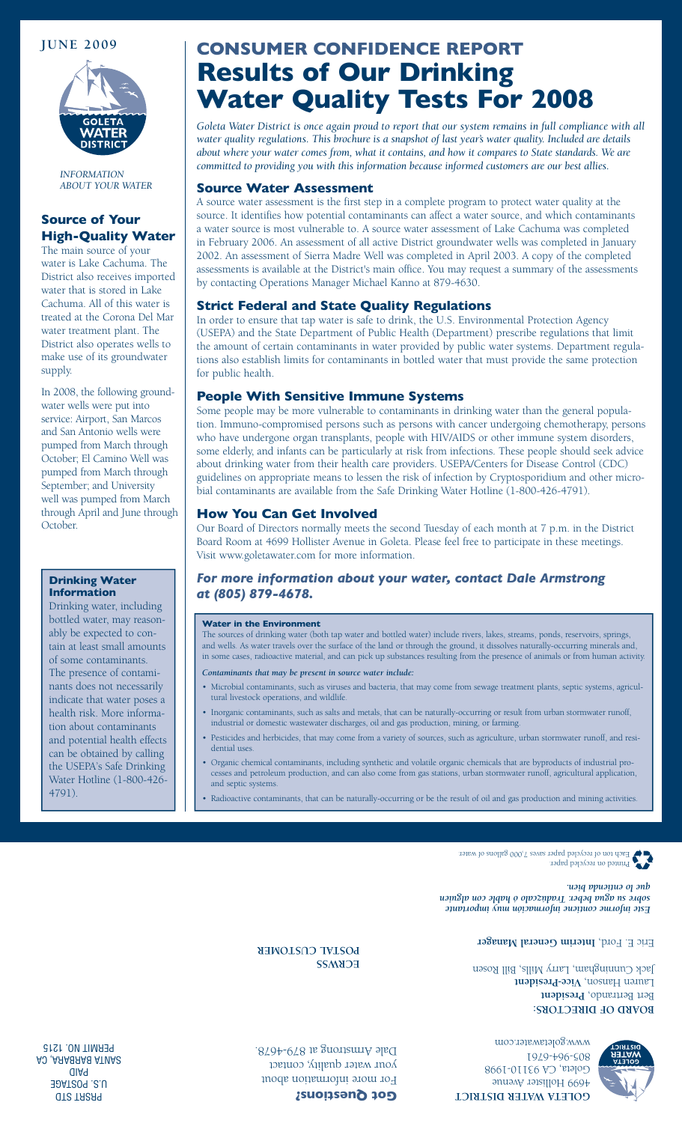

*INFORMATION ABOUT YOUR WATER*

### **Source of Your High-Quality Water**

The main source of your water is Lake Cachuma. The District also receives imported water that is stored in Lake Cachuma. All of this water is treated at the Corona Del Mar water treatment plant. The District also operates wells to make use of its groundwater supply.

In 2008, the following groundwater wells were put into service: Airport, San Marcos and San Antonio wells were pumped from March through October; El Camino Well was pumped from March through September; and University well was pumped from March through April and June through October.

#### **Drinking Water Information**

Drinking water, including bottled water, may reasonably be expected to contain at least small amounts of some contaminants. The presence of contaminants does not necessarily indicate that water poses a health risk. More information about contaminants and potential health effects can be obtained by calling the USEPA's Safe Drinking Water Hotline (1-800-426- 4791).

# **JUNE 2009 CONSUMER CONFIDENCE REPORT Results of Our Drinking Water Quality Tests For 2008**

*Goleta Water District is once again proud to report that our system remains in full compliance with all water quality regulations. This brochure is a snapshot of last year's water quality. Included are details about where your water comes from, what it contains, and how it compares to State standards. We are committed to providing you with this information because informed customers are our best allies.* 

#### **Source Water Assessment**

A source water assessment is the first step in a complete program to protect water quality at the source. It identifies how potential contaminants can affect a water source, and which contaminants a water source is most vulnerable to. A source water assessment of Lake Cachuma was completed in February 2006. An assessment of all active District groundwater wells was completed in January 2002. An assessment of Sierra Madre Well was completed in April 2003. A copy of the completed assessments is available at the District's main office. You may request a summary of the assessments by contacting Operations Manager Michael Kanno at 879-4630.

### **Strict Federal and State Quality Regulations**

In order to ensure that tap water is safe to drink, the U.S. Environmental Protection Agency (USEPA) and the State Department of Public Health (Department) prescribe regulations that limit the amount of certain contaminants in water provided by public water systems. Department regulations also establish limits for contaminants in bottled water that must provide the same protection for public health.

#### **People With Sensitive Immune Systems**

Some people may be more vulnerable to contaminants in drinking water than the general population. Immuno-compromised persons such as persons with cancer undergoing chemotherapy, persons who have undergone organ transplants, people with HIV/AIDS or other immune system disorders, some elderly, and infants can be particularly at risk from infections. These people should seek advice about drinking water from their health care providers. USEPA/Centers for Disease Control (CDC) guidelines on appropriate means to lessen the risk of infection by Cryptosporidium and other microbial contaminants are available from the Safe Drinking Water Hotline (1-800-426-4791).

#### **How You Can Get Involved**

Our Board of Directors normally meets the second Tuesday of each month at 7 p.m. in the District Board Room at 4699 Hollister Avenue in Goleta. Please feel free to participate in these meetings. Visit www.goletawater.com for more information.

### *For more information about your water, contact Dale Armstrong at (805) 879-4678.*

#### **Water in the Environment**

The sources of drinking water (both tap water and bottled water) include rivers, lakes, streams, ponds, reservoirs, springs, and wells. As water travels over the surface of the land or through the ground, it dissolves naturally-occurring minerals and, in some cases, radioactive material, and can pick up substances resulting from the presence of animals or from human activity.

*Contaminants that may be present in source water include:*

- • Microbial contaminants, such as viruses and bacteria, that may come from sewage treatment plants, septic systems, agricultural livestock operations, and wildlife.
- Inorganic contaminants, such as salts and metals, that can be naturally-occurring or result from urban stormwater runoff, industrial or domestic wastewater discharges, oil and gas production, mining, or farming.
- Pesticides and herbicides, that may come from a variety of sources, such as agriculture, urban stormwater runoff, and residential uses.
- • Organic chemical contaminants, including synthetic and volatile organic chemicals that are byproducts of industrial processes and petroleum production, and can also come from gas stations, urban stormwater runoff, agricultural application, and septic systems.
- Radioactive contaminants, that can be naturally-occurring or be the result of oil and gas production and mining activities.



*que lo entienda bien.*

*Este informe contiene información muy importante sobre su agua beber. Tradúzcalo ó hable con alguien* 

**Eric E. Ford, Interim General Manager** 

**BOARD OF DIRECTORS: Bert Bertrando, President** Lauren Hanson, Vice-President Jack Cunningham, Larry Mills, Bill Rosen

**ECRWSS POSTAL CUSTOMER**

Dale Armstrong at 879-4678.

your water quality, contact

U.S. POSTAGE PAID SANTA BARBARA, CA PERMIT NO. 1215

PRSRT STD

**GOLETA WATER DISTRICT** 4699 Hollister Avenue Goleta, CA 93110-1998 805-964-6761

www.goletawater.com

For more information about

**Got Questions?**